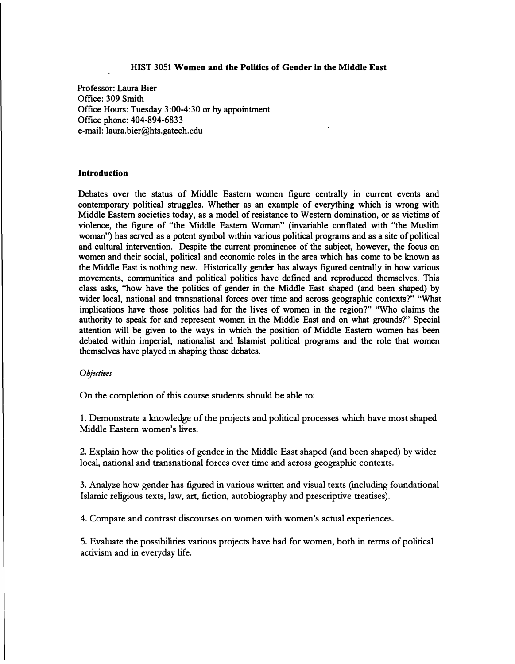#### **HIST 3051 Women and the Politics of Gender in the Middle East**

**Professor: Laura Bier Office: 309 Smith Office Hours: Tuesday 3:00-4:30 or by appointment Office phone: 404-894-6833 e-mail: laura.bier@hts.gatech.edu**

#### **Introduction**

**Debates over the status of Middle Eastern women figure centrally in current events and contemporary political struggles. Whether as an example of everything which is wrong with Middle Eastern societies today, as a model of resistance to Western domination, or as victims of violence, the figure of "the Middle Eastern Woman" (invariable conflated with "the Muslim woman") has served as a potent symbol within various political programs and as a site of political and cultural intervention. Despite the current prominence of the subject, however, the focus on women and their social, political and economic roles in the area which has come to be known as the Middle East is nothing new. Historically gender has always figured centrally in how various movements, communities and political polities have defined and reproduced themselves. This class asks, "how have the politics of gender in the Middle East shaped (and been shaped) by wider local, national and transnational forces over time and across geographic contexts?" "What implications have those politics had for the lives of women in the region?" "Who claims the authority to speak for and represent women in the Middle East and on what grounds?" Special attention will be given to the ways in which the position of Middle Eastern women has been debated within imperial, nationalist and Islamist political programs and the role that women themselves have played in shaping those debates.** 

#### *Objectives*

**On the completion of this course students should be able to:** 

**1. Demonstrate a knowledge of the projects and political processes which have most shaped Middle Eastern women's lives.**

**2. Explain how the politics of gender in the Middle East shaped (and been shaped) by wider local, national and transnational forces over time and across geographic contexts.**

**3. Analyze how gender has figured in various written and visual texts (including foundational Islamic religious texts, law, art, fiction, autobiography and prescriptive treatises).**

**4. Compare and contrast discourses on women with women's actual experiences.**

**5. Evaluate the possibilities various projects have had for women, both in terms of political activism and in everyday life.**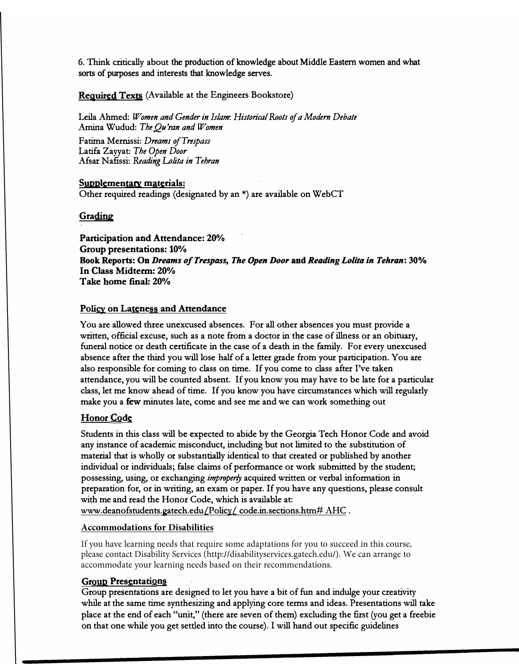**6. Think critically about the production of knowledge about Middle Eastern women and what sorts of purposes and interests that knowledge serves.**

**Required Texts (Available at the Engineers Bookstore)** 

**Leila Ahmed:** *Women and Gender in Islam: Historical Roots of a Modern Debate*  **Amina Wudud:** *TheQu'ran and Women*  **Fatima Mernissi:** *Dreams of Trespass*  **Latifa Zayyat:** *The Open Door*  **Afsat N afissi:** *Reading Lolita in Tehran* 

**Supplementary materials: Other required readings ( designated by an \*) are available on WebCT** 

**Grading** 

**Participation and Attendance: 20% Group presentations: 10% Book Reports: On** *Dreams of Trespass, The Open Door* **and** *Reading Lolita in Tehran:* **30% In Class Midterm: 20% Take home final: 20%** 

# **Policy on Lateness and Attendance**

You are allowed three unexcused absences. For all other absences you must provide a **written, official excuse, such as a note from a doctor in the case of illness or an obituary, funeral notice or death certificate in the case of a death in the family. For every unexcused absence after the third you will lose half of a letter grade from your participation. You are also responsible for coming to class on time.** If **you come to class after I've taken attendance, you will be counted absent.** If **you know you may have to be late for a particular class, let me know ahead of time.** If **you know you have circumstances which will regularly make you a few minutes late, come and see me and we can work something out** 

# **Honor Code**

**Students in this class will be expected to abide by the Georgia Tech Honor Code and avoid any instance of academic misconduct, including but not limited to the substitution of material that is wholly or substantially identical to that created or published by another individual or individuals; false claims of performance or work submitted by the student; possessing, using, or exchanging** *improper!J* **acquired written or verbal information in preparation for, or in writing, an exam or paper.** If **you have any questions, please consult with me and read the Honor Code, which is available at: www.deanofstudents.gatech.edu/Policy/ code.in.sections.htm# AHC .** 

## **Accommodations for Disabilities**

If you have learning needs that require some adaptations for you to succeed in this course, please contact Disability Services (http://disabilityservices.gatech.edu/). We can arrange to accommodate your learning needs based on their recommendations.

# **Group Presentations**

**Group presentations are designed to let you have a bit of fun and indulge your creativity while at the same time synthesizing and applying core terms and ideas. Presentations will take place at the end of each "unit," (there are seven of them) excluding the first (you get a freebie on that one while you get settled into the course). I will hand out specific guidelines**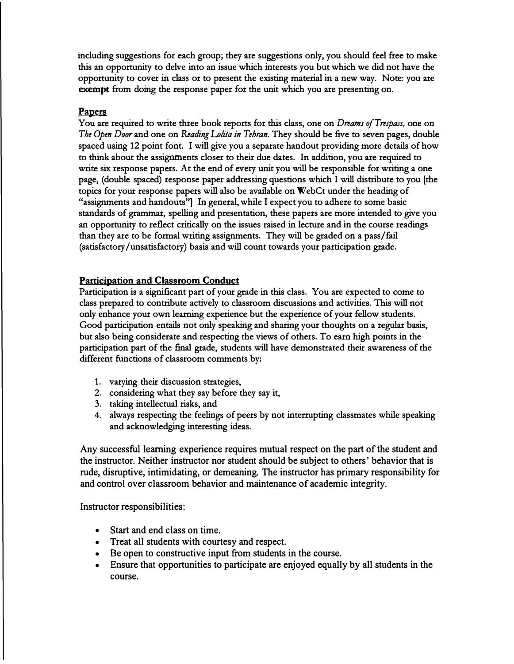**including suggestions for each group; they are suggestions only, you should feel free to make this an opportunity to delve into an issue which interests you but which we did not have the opportunity to cover in class or to present the existing material in a new way. Note: you are**  exempt from doing the response paper for the unit which you are presenting on.

# **Papers**

**You are required to write three book reports for this class, one on** *Dreams of Trespass,* **one on**  *The Open Door* **and one on** *Reading Lolita in Tehran.* **They should be five to seven pages, double spaced using 12 point font. I will give you a separate handout providing more details of how to think about the assignments closer to their due dates. In addition, you are required to write six response papers. At the end of every unit you will be responsible for writing a one page, (double spaced) response paper addressing questions which I will distribute to you [the topics for your response papers will also be available on WebCt under the heading of "assignments and handouts"] In general, while I expect you to adhere to some basic standards of grammar, spelling and presentation, these papers are more intended to give you an opportunity to reflect critically on the issues raised in lecture and in the course readings than they are to be formal writing assignments. They will be graded on a pass/fail (satisfactory /unsatisfactory) basis and will count towards your participation grade.** 

# **Participation and Classroom Conduct**

**Participation is a significant part of your grade in this class. You are expected to come to class prepared to contribute actively to classroom discussions and activities. This will not only enhance your own learning experience but the experience of your fellow students. Good participation entails not only speaking and sharing your thoughts on a regular basis, but also being considerate and respecting the views of others. To earn high points in the participation part of the final grade, students will have demonstrated their awareness of the different functions of classroom comments by:** 

- **1. varying their discussion strategies,**
- **2. considering what they say before they say it,**
- **3. taking intellectual risks, and**
- **4. always respecting the feelings of peers by not interrupting classmates while speaking and acknowledging interesting ideas.**

Any successful learning experience requires mutual respect on the part of the student and the instructor. Neither instructor nor student should be subject to others' behavior that is rude, disruptive, intimidating, or demeaning. The instructor has primary responsibility for and control over classroom behavior and maintenance of academic integrity.

Instructor responsibilities:

- Start and end class on time.
- Treat all students with courtesy and respect.
- Be open to constructive input from students in the course.
- Ensure that opportunities to participate are enjoyed equally by all students in the course.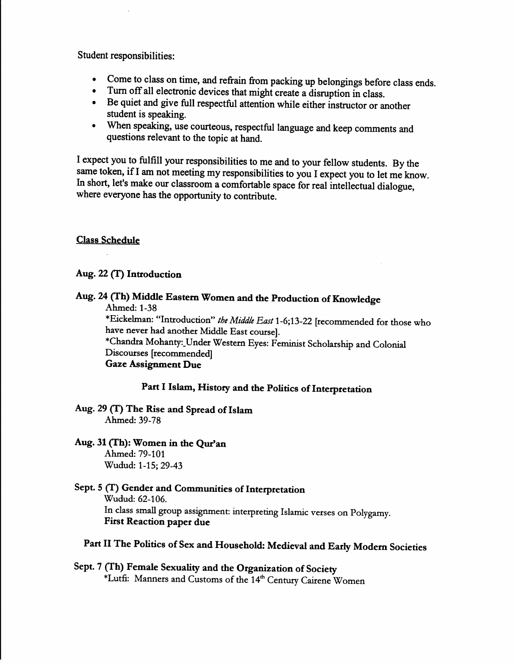Student responsibilities:

- Come to class on time, and refrain from packing up belongings before class ends.
- Turn off all electronic devices that might create a disruption in class.
- Be quiet and give full respectful attention while either instructor or another student is speaking.
- When speaking, use courteous, respectful language and keep comments and questions relevant to the topic at hand.

I expect you to fulfill your responsibilities to me and to your fellow students. By the same token, if I am not meeting my responsibilities to you I expect you to let me know. In short, let's make our classroom a comfortable space for real intellectual dialogue, where everyone has the opportunity to contribute.

## **Class Schedule**

# Aug. 22 (T) Introduction

# Aug. 24 (Th) Middle Eastern Women and the Production of Knowledge

Ahmed: 1-38

\*Eickelman: "Introduction" the Middle East 1-6;13-22 [recommended for those who have never had another Middle East course].

\*Chandra Mohanty: Under Western Eyes: Feminist Scholarship and Colonial Discourses [recommended]

**Gaze Assignment Due** 

# Part I Islam, History and the Politics of Interpretation

## Aug. 29 (T) The Rise and Spread of Islam Ahmed: 39-78

Aug. 31 (Th): Women in the Qur'an Ahmed: 79-101 Wudud: 1-15; 29-43

# Sept. 5 (T) Gender and Communities of Interpretation Wudud: 62-106. In class small group assignment: interpreting Islamic verses on Polygamy. **First Reaction paper due**

# Part II The Politics of Sex and Household: Medieval and Early Modern Societies

Sept. 7 (Th) Female Sexuality and the Organization of Society \*Lutfi: Manners and Customs of the 14<sup>th</sup> Century Cairene Women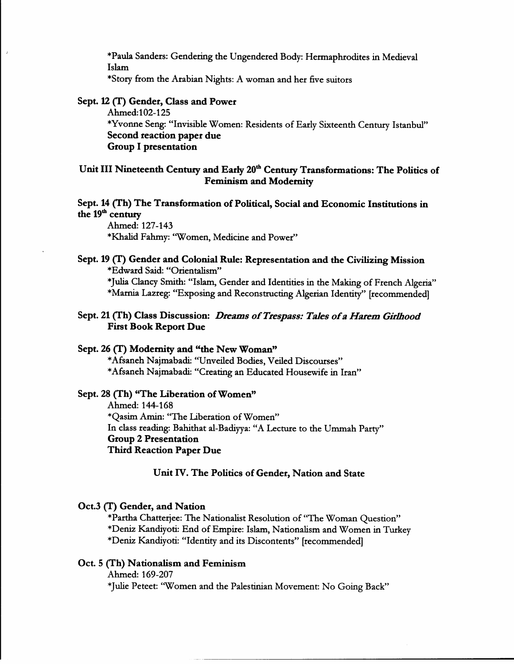\*Paula Sanders: Gendering the Ungendered Body: Hermaphrodites in Medieval Islam

\*Story from the Arabian Nights: A woman and her five suitors

## Sept. 12 (T) Gender, Class and Power

Ahmed:102-125 \*Yvonne Seng: "Invisible Women: Residents of Early Sixteenth Century Istanbul" Second reaction paper due **Group I presentation** 

# Unit III Nineteenth Century and Early 20<sup>th</sup> Century Transformations: The Politics of **Feminism and Modernity**

## Sept. 14 (Th) The Transformation of Political, Social and Economic Institutions in the 19<sup>th</sup> century

Ahmed: 127-143 \*Khalid Fahmy: "Women, Medicine and Power"

## Sept. 19 (T) Gender and Colonial Rule: Representation and the Civilizing Mission \*Edward Said: "Orientalism" \*Julia Clancy Smith: "Islam, Gender and Identities in the Making of French Algeria" \*Marnia Lazreg: "Exposing and Reconstructing Algerian Identity" [recommended]

## Sept. 21 (Th) Class Discussion: Dreams of Trespass: Tales of a Harem Girlhood **First Book Report Due**

### Sept. 26 (T) Modernity and "the New Woman"

\*Afsaneh Najmabadi: "Unveiled Bodies, Veiled Discourses" \*Afsaneh Najmabadi: "Creating an Educated Housewife in Iran"

## Sept. 28 (Th) "The Liberation of Women"

Ahmed: 144-168 \*Qasim Amin: "The Liberation of Women" In class reading: Bahithat al-Badiyya: "A Lecture to the Ummah Party" **Group 2 Presentation Third Reaction Paper Due** 

### Unit IV. The Politics of Gender, Nation and State

#### Oct.3 (T) Gender, and Nation

\*Partha Chatterjee: The Nationalist Resolution of "The Woman Question" \*Deniz Kandiyoti: End of Empire: Islam, Nationalism and Women in Turkey \*Deniz Kandiyoti: "Identity and its Discontents" [recommended]

## Oct. 5 (Th) Nationalism and Feminism

Ahmed: 169-207 \*Julie Peteet: "Women and the Palestinian Movement: No Going Back"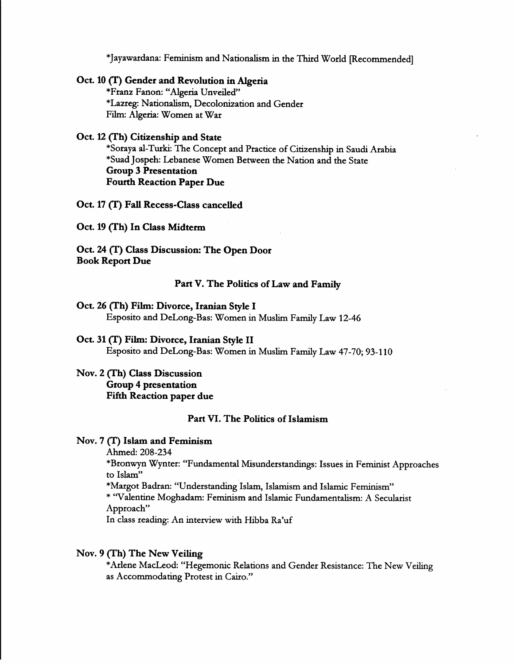\*Jayawardana: Feminism and Nationalism in the Third World [Recommended]

## Oct. 10 (T) Gender and Revolution in Algeria

\*Franz Fanon: "Algeria Unveiled" \*Lazreg: Nationalism, Decolonization and Gender Film: Algeria: Women at War

### Oct. 12 (Th) Citizenship and State

\*Soraya al-Turki: The Concept and Practice of Citizenship in Saudi Arabia \*Suad Jospeh: Lebanese Women Between the Nation and the State **Group 3 Presentation Fourth Reaction Paper Due** 

Oct. 17 (T) Fall Recess-Class cancelled

Oct. 19 (Th) In Class Midterm

Oct. 24 (T) Class Discussion: The Open Door **Book Report Due** 

#### Part V. The Politics of Law and Family

### Oct. 26 (Th) Film: Divorce, Iranian Style I Esposito and DeLong-Bas: Women in Muslim Family Law 12-46

## Oct. 31 (T) Film: Divorce, Iranian Style II Esposito and DeLong-Bas: Women in Muslim Family Law 47-70; 93-110

Nov. 2 (Th) Class Discussion **Group 4 presentation Fifth Reaction paper due** 

## Part VI. The Politics of Islamism

#### Nov. 7 (T) Islam and Feminism

Ahmed: 208-234

\*Bronwyn Wynter: "Fundamental Misunderstandings: Issues in Feminist Approaches to Islam"

\*Margot Badran: "Understanding Islam, Islamism and Islamic Feminism"

\* "Valentine Moghadam: Feminism and Islamic Fundamentalism: A Secularist Approach"

In class reading: An interview with Hibba Ra'uf

#### Nov. 9 (Th) The New Veiling

\*Arlene MacLeod: "Hegemonic Relations and Gender Resistance: The New Veiling as Accommodating Protest in Cairo."